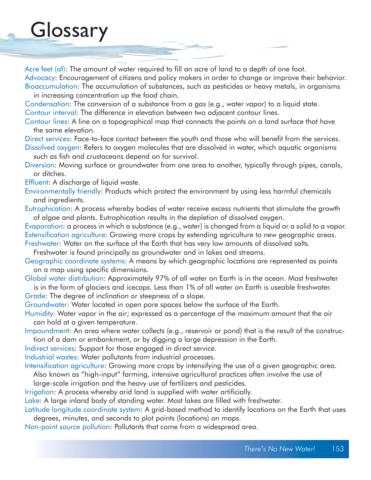## **Glossary**

Acre feet (af): The amount of water required to fill an acre of land to a depth of one foot. Advocacy: Encouragement of citizens and policy makers in order to change or improve their behavior. Bioaccumulation: The accumulation of substances, such as pesticides or heavy metals, in organisms

in increasing concentration up the food chain.

Condensation: The conversion of a substance from a gas (e.g., water vapor) to a liquid state.

Contour interval: The difference in elevation between two adjacent contour lines.

Contour lines: A line on a topographical map that connects the points on a land surface that have the same elevation.

Direct services: Face-to-face contact between the youth and those who will benefit from the services. Dissolved oxygen: Refers to oxygen molecules that are dissolved in water, which aquatic organisms

such as fish and crustaceans depend on for survival.

Diversion: Moving surface or groundwater from one area to another, typically through pipes, canals, or ditches.

Effluent: A discharge of liquid waste.

Environmentally friendly: Products which protect the environment by using less harmful chemicals and ingredients.

Eutrophication: A process whereby bodies of water receive excess nutrients that stimulate the growth of algae and plants. Eutrophication results in the depletion of dissolved oxygen.

Evaporation: a process in which a substance (e.g., water) is changed from a liquid or a solid to a vapor. Extensification agriculture: Growing more crops by extending agriculture to new geographic areas.

Freshwater: Water on the surface of the Earth that has very low amounts of dissolved salts.

Freshwater is found principally as groundwater and in lakes and streams.

Geographic coordinate systems: A means by which geographic locations are represented as points on a map using specific dimensions.

Global water distribution: Approximately 97% of all water on Earth is in the ocean. Most freshwater is in the form of glaciers and icecaps. Less than 1% of all water on Earth is useable freshwater.

Grade: The degree of inclination or steepness of a slope.

Groundwater: Water located in open pore spaces below the surface of the Earth.

Humidity: Water vapor in the air; expressed as a percentage of the maximum amount that the air can hold at a given temperature.

Impoundment: An area where water collects (e.g., reservoir or pond) that is the result of the construc tion of a dam or embankment, or by digging a large depression in the Earth.

Indirect services: Support for those engaged in direct service.

Industrial wastes: Water pollutants from industrial processes.

Intensification agriculture: Growing more crops by intensifying the use of a given geographic area.

Also known as "high-input" farming, intensive agricultural practices often involve the use of

large-scale irrigation and the heavy use of fertilizers and pesticides.

Irrigation: A process whereby arid land is supplied with water artificially.

Lake: A large inland body of standing water. Most lakes are filled with freshwater.

Latitude longitude coordinate system: A grid-based method to identify locations on the Earth that uses degrees, minutes, and seconds to plot points (locations) on maps.

Non-point source pollution: Pollutants that come from a widespread area.